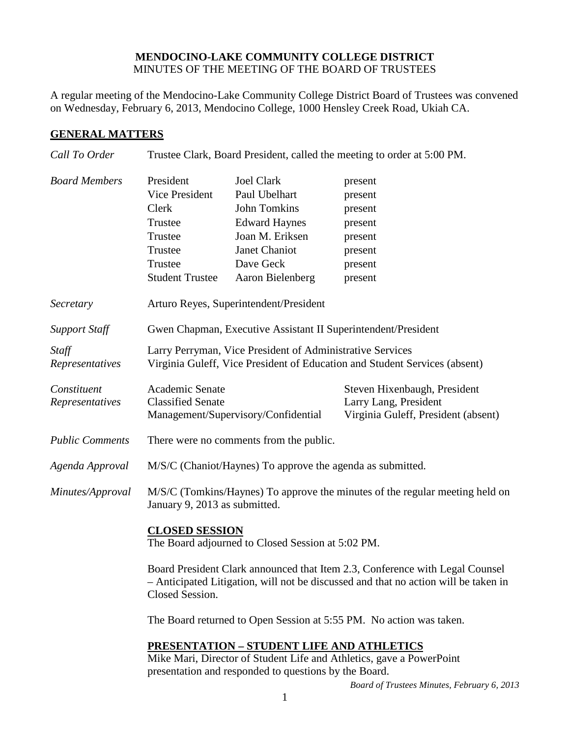## **MENDOCINO-LAKE COMMUNITY COLLEGE DISTRICT** MINUTES OF THE MEETING OF THE BOARD OF TRUSTEES

A regular meeting of the Mendocino-Lake Community College District Board of Trustees was convened on Wednesday, February 6, 2013, Mendocino College, 1000 Hensley Creek Road, Ukiah CA.

## **GENERAL MATTERS**

| Call To Order          | Trustee Clark, Board President, called the meeting to order at 5:00 PM.                                                                                                                |                      |                              |  |
|------------------------|----------------------------------------------------------------------------------------------------------------------------------------------------------------------------------------|----------------------|------------------------------|--|
| <b>Board Members</b>   | President                                                                                                                                                                              | <b>Joel Clark</b>    | present                      |  |
|                        | Vice President                                                                                                                                                                         | Paul Ubelhart        | present                      |  |
|                        | Clerk                                                                                                                                                                                  | <b>John Tomkins</b>  | present                      |  |
|                        | Trustee                                                                                                                                                                                | <b>Edward Haynes</b> | present                      |  |
|                        | Trustee                                                                                                                                                                                | Joan M. Eriksen      | present                      |  |
|                        | Trustee                                                                                                                                                                                | Janet Chaniot        | present                      |  |
|                        | Trustee                                                                                                                                                                                | Dave Geck            | present                      |  |
|                        | <b>Student Trustee</b>                                                                                                                                                                 | Aaron Bielenberg     | present                      |  |
| Secretary              | Arturo Reyes, Superintendent/President                                                                                                                                                 |                      |                              |  |
| <b>Support Staff</b>   | Gwen Chapman, Executive Assistant II Superintendent/President                                                                                                                          |                      |                              |  |
| Staff                  | Larry Perryman, Vice President of Administrative Services                                                                                                                              |                      |                              |  |
| Representatives        | Virginia Guleff, Vice President of Education and Student Services (absent)                                                                                                             |                      |                              |  |
| Constituent            | Academic Senate                                                                                                                                                                        |                      | Steven Hixenbaugh, President |  |
| Representatives        | <b>Classified Senate</b>                                                                                                                                                               |                      | Larry Lang, President        |  |
|                        | Virginia Guleff, President (absent)<br>Management/Supervisory/Confidential                                                                                                             |                      |                              |  |
| <b>Public Comments</b> | There were no comments from the public.                                                                                                                                                |                      |                              |  |
| Agenda Approval        | M/S/C (Chaniot/Haynes) To approve the agenda as submitted.                                                                                                                             |                      |                              |  |
| Minutes/Approval       | M/S/C (Tomkins/Haynes) To approve the minutes of the regular meeting held on<br>January 9, 2013 as submitted.                                                                          |                      |                              |  |
|                        | <b>CLOSED SESSION</b><br>The Board adjourned to Closed Session at 5:02 PM.                                                                                                             |                      |                              |  |
|                        | Board President Clark announced that Item 2.3, Conference with Legal Counsel<br>- Anticipated Litigation, will not be discussed and that no action will be taken in<br>Closed Session. |                      |                              |  |
|                        | The Board returned to Open Session at 5:55 PM. No action was taken.                                                                                                                    |                      |                              |  |
|                        | PRESENTATION - STUDENT LIFE AND ATHLETICS<br>Mike Mari, Director of Student Life and Athletics, gave a PowerPoint<br>presentation and responded to questions by the Board.             |                      |                              |  |

*Board of Trustees Minutes, February 6, 2013*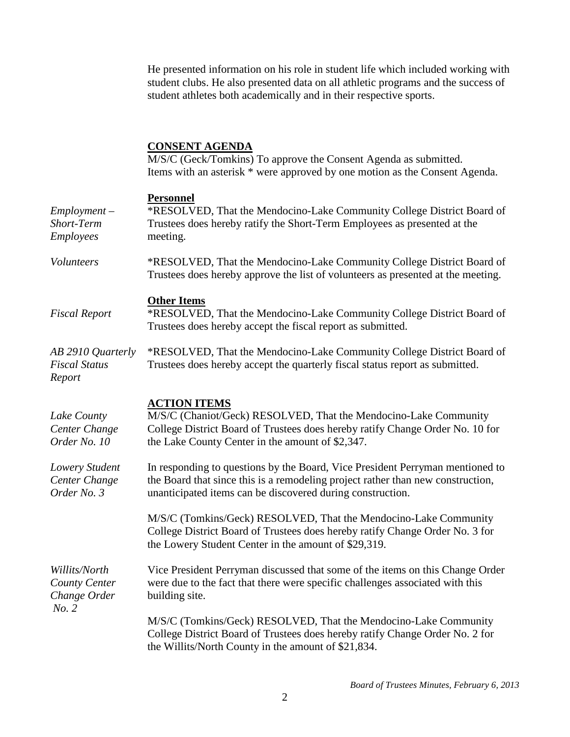He presented information on his role in student life which included working with student clubs. He also presented data on all athletic programs and the success of student athletes both academically and in their respective sports.

## **CONSENT AGENDA**

M/S/C (Geck/Tomkins) To approve the Consent Agenda as submitted. Items with an asterisk \* were approved by one motion as the Consent Agenda.

## **Personnel**

| $Employment -$<br>Short-Term<br>Employees               | L CLDOMILO.<br>*RESOLVED, That the Mendocino-Lake Community College District Board of<br>Trustees does hereby ratify the Short-Term Employees as presented at the<br>meeting.                                                  |
|---------------------------------------------------------|--------------------------------------------------------------------------------------------------------------------------------------------------------------------------------------------------------------------------------|
| <b>Volunteers</b>                                       | *RESOLVED, That the Mendocino-Lake Community College District Board of<br>Trustees does hereby approve the list of volunteers as presented at the meeting.                                                                     |
| <b>Fiscal Report</b>                                    | <b>Other Items</b><br>*RESOLVED, That the Mendocino-Lake Community College District Board of<br>Trustees does hereby accept the fiscal report as submitted.                                                                    |
| AB 2910 Quarterly<br><b>Fiscal Status</b><br>Report     | *RESOLVED, That the Mendocino-Lake Community College District Board of<br>Trustees does hereby accept the quarterly fiscal status report as submitted.                                                                         |
| Lake County<br>Center Change<br>Order No. 10            | <b>ACTION ITEMS</b><br>M/S/C (Chaniot/Geck) RESOLVED, That the Mendocino-Lake Community<br>College District Board of Trustees does hereby ratify Change Order No. 10 for<br>the Lake County Center in the amount of \$2,347.   |
| Lowery Student<br>Center Change<br>Order No. 3          | In responding to questions by the Board, Vice President Perryman mentioned to<br>the Board that since this is a remodeling project rather than new construction,<br>unanticipated items can be discovered during construction. |
|                                                         | M/S/C (Tomkins/Geck) RESOLVED, That the Mendocino-Lake Community<br>College District Board of Trustees does hereby ratify Change Order No. 3 for<br>the Lowery Student Center in the amount of \$29,319.                       |
| Willits/North<br>County Center<br>Change Order<br>No. 2 | Vice President Perryman discussed that some of the items on this Change Order<br>were due to the fact that there were specific challenges associated with this<br>building site.                                               |
|                                                         | M/S/C (Tomkins/Geck) RESOLVED, That the Mendocino-Lake Community<br>College District Board of Trustees does hereby ratify Change Order No. 2 for<br>the Willits/North County in the amount of \$21,834.                        |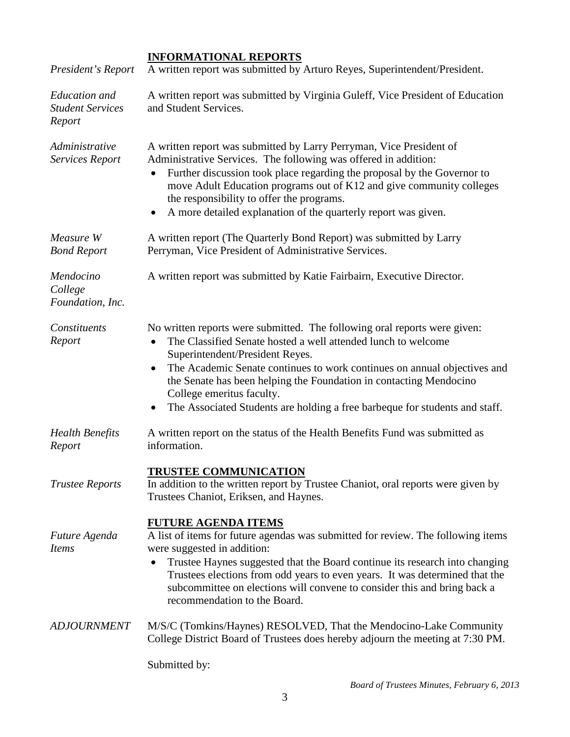| President's Report                                        | <b>INFORMATIONAL REPORTS</b><br>A written report was submitted by Arturo Reyes, Superintendent/President.                                                                                                                                                                                                                                                                                                                                                             |  |
|-----------------------------------------------------------|-----------------------------------------------------------------------------------------------------------------------------------------------------------------------------------------------------------------------------------------------------------------------------------------------------------------------------------------------------------------------------------------------------------------------------------------------------------------------|--|
| <b>Education</b> and<br><b>Student Services</b><br>Report | A written report was submitted by Virginia Guleff, Vice President of Education<br>and Student Services.                                                                                                                                                                                                                                                                                                                                                               |  |
| Administrative<br><b>Services Report</b>                  | A written report was submitted by Larry Perryman, Vice President of<br>Administrative Services. The following was offered in addition:<br>Further discussion took place regarding the proposal by the Governor to<br>move Adult Education programs out of K12 and give community colleges<br>the responsibility to offer the programs.<br>A more detailed explanation of the quarterly report was given.                                                              |  |
| Measure W<br><b>Bond Report</b>                           | A written report (The Quarterly Bond Report) was submitted by Larry<br>Perryman, Vice President of Administrative Services.                                                                                                                                                                                                                                                                                                                                           |  |
| Mendocino<br>College<br>Foundation, Inc.                  | A written report was submitted by Katie Fairbairn, Executive Director.                                                                                                                                                                                                                                                                                                                                                                                                |  |
| Constituents<br>Report                                    | No written reports were submitted. The following oral reports were given:<br>The Classified Senate hosted a well attended lunch to welcome<br>$\bullet$<br>Superintendent/President Reyes.<br>The Academic Senate continues to work continues on annual objectives and<br>the Senate has been helping the Foundation in contacting Mendocino<br>College emeritus faculty.<br>The Associated Students are holding a free barbeque for students and staff.<br>$\bullet$ |  |
| <b>Health Benefits</b><br>Report                          | A written report on the status of the Health Benefits Fund was submitted as<br>information.                                                                                                                                                                                                                                                                                                                                                                           |  |
| <b>Trustee Reports</b>                                    | <b>TRUSTEE COMMUNICATION</b><br>In addition to the written report by Trustee Chaniot, oral reports were given by<br>Trustees Chaniot, Eriksen, and Haynes.                                                                                                                                                                                                                                                                                                            |  |
| Future Agenda<br><i>Items</i>                             | <b>FUTURE AGENDA ITEMS</b><br>A list of items for future agendas was submitted for review. The following items<br>were suggested in addition:<br>Trustee Haynes suggested that the Board continue its research into changing<br>Trustees elections from odd years to even years. It was determined that the<br>subcommittee on elections will convene to consider this and bring back a<br>recommendation to the Board.                                               |  |
| <b>ADJOURNMENT</b>                                        | M/S/C (Tomkins/Haynes) RESOLVED, That the Mendocino-Lake Community<br>College District Board of Trustees does hereby adjourn the meeting at 7:30 PM.                                                                                                                                                                                                                                                                                                                  |  |

Submitted by: